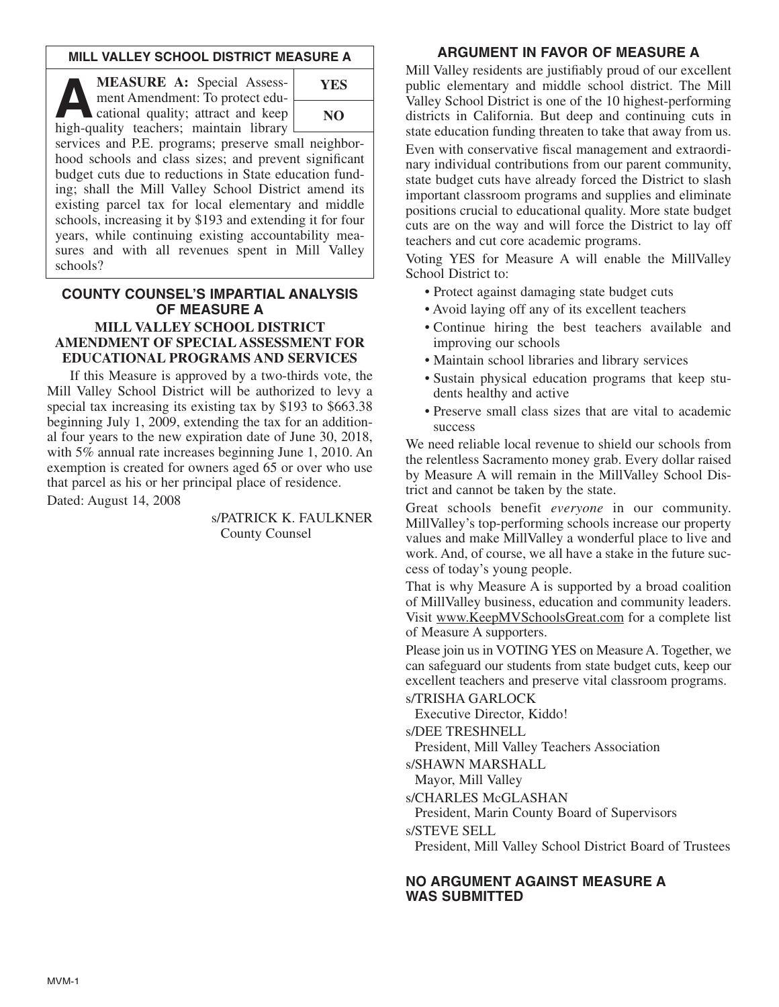### **MILL VALLEY SCHOOL DISTRICT MEASURE A**

**ALASURE A:** Special Assessment Amendment: To protect educational quality; attract and keep ment Amendment: To protect educational quality; attract and keep high-quality teachers; maintain library



services and P.E. programs; preserve small neighborhood schools and class sizes; and prevent significant budget cuts due to reductions in State education funding; shall the Mill Valley School District amend its existing parcel tax for local elementary and middle schools, increasing it by \$193 and extending it for four years, while continuing existing accountability measures and with all revenues spent in Mill Valley schools?

#### **COUNTY COUNSEL'S IMPARTIAL ANALYSIS OF MEASURE A MILL VALLEY SCHOOL DISTRICT AMENDMENT OF SPECIAL ASSESSMENT FOR EDUCATIONAL PROGRAMS AND SERVICES**

If this Measure is approved by a two-thirds vote, the Mill Valley School District will be authorized to levy a special tax increasing its existing tax by \$193 to \$663.38 beginning July 1, 2009, extending the tax for an additional four years to the new expiration date of June 30, 2018, with 5% annual rate increases beginning June 1, 2010. An exemption is created for owners aged 65 or over who use that parcel as his or her principal place of residence. Dated: August 14, 2008

> s/PATRICK K. FAULKNER County Counsel

### **ARGUMENT IN FAVOR OF MEASURE A**

Mill Valley residents are justifiably proud of our excellent public elementary and middle school district. The Mill Valley School District is one of the 10 highest-performing districts in California. But deep and continuing cuts in state education funding threaten to take that away from us. Even with conservative fiscal management and extraordinary individual contributions from our parent community, state budget cuts have already forced the District to slash important classroom programs and supplies and eliminate positions crucial to educational quality. More state budget cuts are on the way and will force the District to lay off teachers and cut core academic programs.

Voting YES for Measure A will enable the MillValley School District to:

- Protect against damaging state budget cuts
- Avoid laying off any of its excellent teachers
- Continue hiring the best teachers available and improving our schools
- Maintain school libraries and library services
- Sustain physical education programs that keep students healthy and active
- Preserve small class sizes that are vital to academic success

We need reliable local revenue to shield our schools from the relentless Sacramento money grab. Every dollar raised by Measure A will remain in the MillValley School District and cannot be taken by the state.

Great schools benefit *everyone* in our community. MillValley's top-performing schools increase our property values and make MillValley a wonderful place to live and work. And, of course, we all have a stake in the future success of today's young people.

That is why Measure A is supported by a broad coalition of MillValley business, education and community leaders. Visit www.KeepMVSchoolsGreat.com for a complete list of Measure A supporters.

Please join us in VOTING YES on Measure A. Together, we can safeguard our students from state budget cuts, keep our excellent teachers and preserve vital classroom programs.

s/TRISHA GARLOCK

Executive Director, Kiddo!

s/DEE TRESHNELL

President, Mill Valley Teachers Association

s/SHAWN MARSHALL

Mayor, Mill Valley

s/CHARLES McGLASHAN

President, Marin County Board of Supervisors

s/STEVE SELL

President, Mill Valley School District Board of Trustees

## **NO ARGUMENT AGAINST MEASURE A WAS SUBMITTED**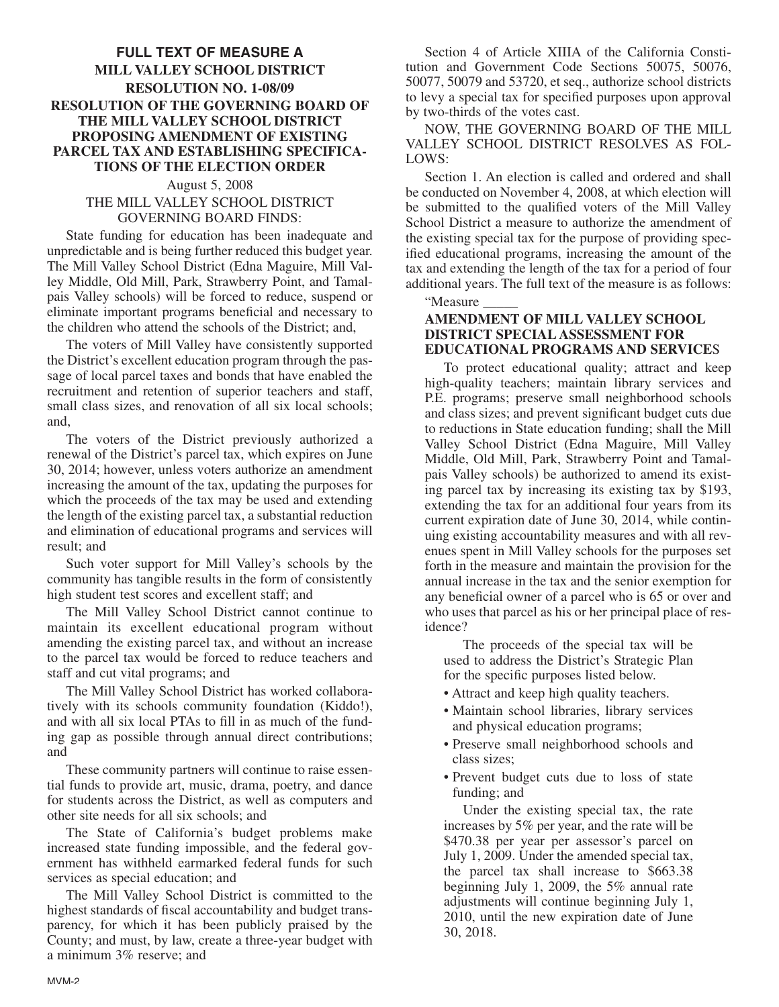# **FULL TEXT OF MEASURE A MILL VALLEY SCHOOL DISTRICT RESOLUTION NO. 1-08/09 RESOLUTION OF THE GOVERNING BOARD OF THE MILL VALLEY SCHOOL DISTRICT PROPOSING AMENDMENT OF EXISTING PARCEL TAX AND ESTABLISHING SPECIFICA-TIONS OF THE ELECTION ORDER**

### August 5, 2008 THE MILL VALLEY SCHOOL DISTRICT GOVERNING BOARD FINDS:

State funding for education has been inadequate and unpredictable and is being further reduced this budget year. The Mill Valley School District (Edna Maguire, Mill Valley Middle, Old Mill, Park, Strawberry Point, and Tamalpais Valley schools) will be forced to reduce, suspend or eliminate important programs beneficial and necessary to the children who attend the schools of the District; and,

The voters of Mill Valley have consistently supported the District's excellent education program through the passage of local parcel taxes and bonds that have enabled the recruitment and retention of superior teachers and staff, small class sizes, and renovation of all six local schools; and,

The voters of the District previously authorized a renewal of the District's parcel tax, which expires on June 30, 2014; however, unless voters authorize an amendment increasing the amount of the tax, updating the purposes for which the proceeds of the tax may be used and extending the length of the existing parcel tax, a substantial reduction and elimination of educational programs and services will result; and

Such voter support for Mill Valley's schools by the community has tangible results in the form of consistently high student test scores and excellent staff; and

The Mill Valley School District cannot continue to maintain its excellent educational program without amending the existing parcel tax, and without an increase to the parcel tax would be forced to reduce teachers and staff and cut vital programs; and

The Mill Valley School District has worked collaboratively with its schools community foundation (Kiddo!), and with all six local PTAs to fill in as much of the funding gap as possible through annual direct contributions; and

These community partners will continue to raise essential funds to provide art, music, drama, poetry, and dance for students across the District, as well as computers and other site needs for all six schools; and

The State of California's budget problems make increased state funding impossible, and the federal government has withheld earmarked federal funds for such services as special education; and

The Mill Valley School District is committed to the highest standards of fiscal accountability and budget transparency, for which it has been publicly praised by the County; and must, by law, create a three-year budget with a minimum 3% reserve; and

Section 4 of Article XIIIA of the California Constitution and Government Code Sections 50075, 50076, 50077, 50079 and 53720, et seq., authorize school districts to levy a special tax for specified purposes upon approval by two-thirds of the votes cast.

NOW, THE GOVERNING BOARD OF THE MILL VALLEY SCHOOL DISTRICT RESOLVES AS FOL-LOWS:

Section 1. An election is called and ordered and shall be conducted on November 4, 2008, at which election will be submitted to the qualified voters of the Mill Valley School District a measure to authorize the amendment of the existing special tax for the purpose of providing specified educational programs, increasing the amount of the tax and extending the length of the tax for a period of four additional years. The full text of the measure is as follows:

"Measure \_\_\_\_\_

### **AMENDMENT OF MILL VALLEY SCHOOL DISTRICT SPECIAL ASSESSMENT FOR EDUCATIONAL PROGRAMS AND SERVICE**S

To protect educational quality; attract and keep high-quality teachers; maintain library services and P.E. programs; preserve small neighborhood schools and class sizes; and prevent significant budget cuts due to reductions in State education funding; shall the Mill Valley School District (Edna Maguire, Mill Valley Middle, Old Mill, Park, Strawberry Point and Tamalpais Valley schools) be authorized to amend its existing parcel tax by increasing its existing tax by \$193, extending the tax for an additional four years from its current expiration date of June 30, 2014, while continuing existing accountability measures and with all revenues spent in Mill Valley schools for the purposes set forth in the measure and maintain the provision for the annual increase in the tax and the senior exemption for any beneficial owner of a parcel who is 65 or over and who uses that parcel as his or her principal place of residence?

The proceeds of the special tax will be used to address the District's Strategic Plan for the specific purposes listed below.

- Attract and keep high quality teachers.
- Maintain school libraries, library services and physical education programs;
- Preserve small neighborhood schools and class sizes;
- Prevent budget cuts due to loss of state funding; and

Under the existing special tax, the rate increases by 5% per year, and the rate will be \$470.38 per year per assessor's parcel on July 1, 2009. Under the amended special tax, the parcel tax shall increase to \$663.38 beginning July 1, 2009, the 5% annual rate adjustments will continue beginning July 1, 2010, until the new expiration date of June 30, 2018.